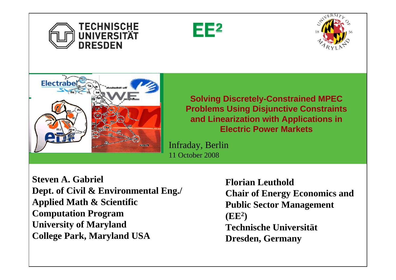







**Solving Discretely-Constrained MPEC Problems Using Disjunctive Constraints and Linearization with Applications in Electric Power Markets**

Infraday, Berlin 11 October 2008

**Steven A. Gabriel Dept. of Civil & Environmental Eng./ Applied Math & Scientific Computation Program University of Maryland College Park, Maryland USA**

**Florian LeutholdChair of Energy Economics and Public Sector Management (EE 2 ) Technische Universität Dresden, Germany**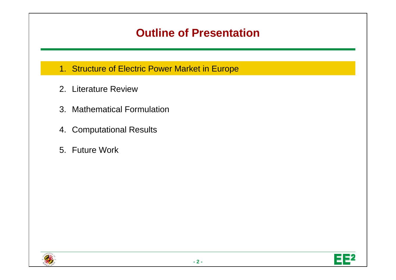## **Outline of Presentation**

- 1. Structure of Electric Power Market in Europe
- 2. Literature Review
- 3. Mathematical Formulation
- 4. Computational Results
- 5. Future Work



E 52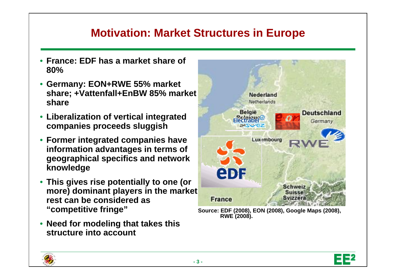## **Motivation: Market Structures in Europe**

- **France: EDF has a market share of 80%**
- **Germany: EON+RWE 55% market share; +Vattenfall+EnBW 85% market share**
- **Liberalization of vertical integrated companies proceeds sluggish**
- **Former integrated companies have information advantages in terms of geographical specifics and network knowledge**
- **This gives rise potentially to one (or**  more) dominant players in the market **rest can be considered as "competitive fringe"**
- **Need for modeling that takes this structure into account**





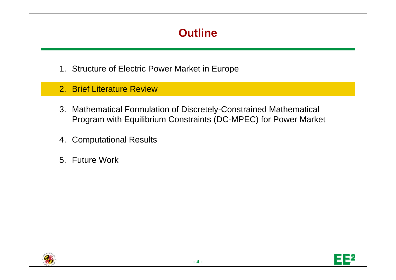# **Outline**

- 1. Structure of Electric Power Market in Europe
- 2. Brief Literature Review
- 3. Mathematical Formulation of Discretely-Constrained Mathematical Program with Equilibrium Constraints (DC-MPEC) for Power Market
- 4. Computational Results
- 5. Future Work

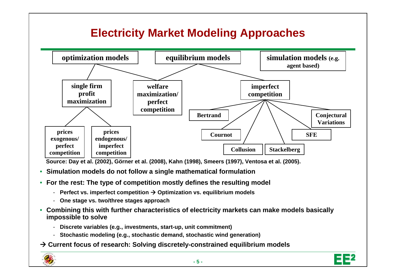# **Electricity Market Modeling Approaches**



**Source: Day et al. (2002), Görner et al. (2008), Kahn (1998), Smeers (1997), Ventosa et al. (2005).**

- $\bullet$ **Simulation models do not follow a single mathematical formulation**
- **For the rest: The type of competition mostly defines the resulting model** 
	- **Perfect vs. imperfect competition** Æ **Optimization vs. equilibrium models**
	- **One stage vs. two/three stages approach**
- $\bullet$  **Combining this with further characteristics of electricity markets can make models basically impossible to solve**
	- **Discrete variables (e.g., investments, start-up, unit commitment)**
	- **Stochastic modeling (e.g., stochastic demand, stochastic wind generation)**

 $\rightarrow$  **Current focus of research: Solving discretely-constrained equilibrium models** 



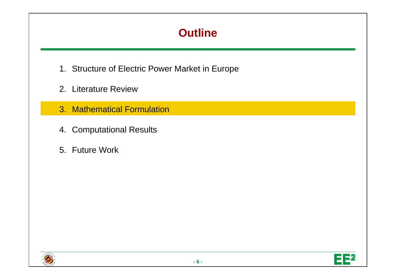# **Outline**

- 1. Structure of Electric Power Market in Europe
- 2. Literature Review
- 3. Mathematical Formulation
- 4. Computational Results
- 5. Future Work

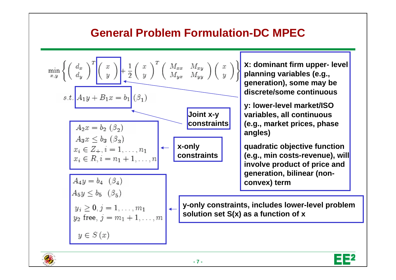### **General Problem Formulation-DC MPEC**

$$
\min_{x,y} \left\{ \left( \begin{array}{c} d_x \\ d_y \end{array} \right)^T \left( \begin{array}{c} x \\ y \end{array} \right) + \frac{1}{2} \left( \begin{array}{c} x \\ y \end{array} \right)^T \left( \begin{array}{c} M_{xx} & M_{xy} \\ M_{yx} & M_{yy} \end{array} \right) \left( \begin{array}{c} x \\ y \end{array} \right) \right\}
$$
  
\n
$$
s.t. \boxed{A_1y + B_1x = b_1 \choose (3)}
$$
\n
$$
A_2x = b_2 \ (3_2)
$$
\n
$$
A_3x \le b_3 \ (3_3)
$$
\n
$$
x_i \in Z_+, i = 1, ..., n_1
$$
\n
$$
x_i \in R, i = n_1 + 1, ..., n_1
$$
\n
$$
A_4y = b_4 \ (3_4)
$$
\n
$$
B_5y \le b_5 \ (3_5)
$$
\n
$$
y_2 \text{ free}, j = m_1 + 1, ..., m_1
$$
\n
$$
y \in S(x)
$$
\n
$$
y \in S(x)
$$
\n
$$
x = 1, ..., m_1
$$
\n
$$
y = 1, ..., m_1
$$
\n
$$
y = 1, ..., m_1
$$
\n
$$
y = 1, ..., m_1
$$
\n
$$
y = 1, ..., m_1
$$
\n
$$
y = 1, ..., m_1
$$
\n
$$
y = 1, ..., m_1
$$
\n
$$
y = 1, ..., m_1
$$
\n
$$
y = 1, ..., m_1
$$
\n
$$
y = 1, ..., m_1
$$
\n
$$
y = 1, ..., m_1
$$
\n
$$
y = 1, ..., m_1
$$
\n
$$
y = 1, ..., m_1
$$
\n
$$
y = 1, ..., m_1
$$
\n
$$
y = 1, ..., m_1
$$
\n
$$
y = 1, ..., m_1
$$
\n
$$
y = 1, ..., m_1
$$
\n
$$
y = 1, ..., m_1
$$
\n
$$
y = 1, ..., m_1
$$
\n<math display="</math>



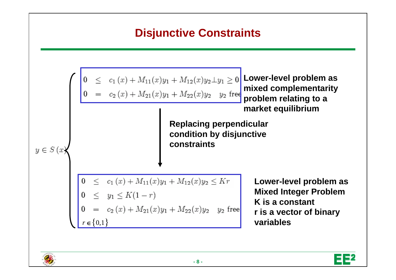#### **Disjunctive Constraints Lower-level problem as mixed complementarity problem relating to a market equilibrium Replacing perpendicular condition by disjunctive constraints** $y \in S(x)$  $0 \leq c_1(x) + M_{11}(x)y_1 + M_{12}(x)y_2 \leq Kr$ **Lower-level problem as Mixed Integer Problem** 0  $\le$   $y_1 \le K(1-r)$ <br>
0  $=$   $c_2(x) + M_{21}(x)y_1 + M_{22}(x)y_2$   $y_2$  free **K is a constantr is a vector of binary**   $r \in \{0,1\}$ **variables**



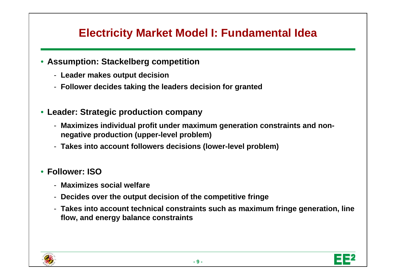# **Electricity Market Model I: Fundamental Idea**

- **Assumption: Stackelberg competition**
	- **Leader makes output decision**
	- **Follower decides taking the leaders decision for granted**
- **Leader: Strategic production company**
	- **Maximizes individual profit under maximum generation constraints and nonnegative production (upper-level problem)**
	- **Takes into account followers decisions (lower-level problem)**

#### • **Follower: ISO**

- **Maximizes social welfare**
- **Decides over the output decision of the competitive fringe**
- **Takes into account technical constraints such as maximum fringe generation, line flow, and energy balance constraints**

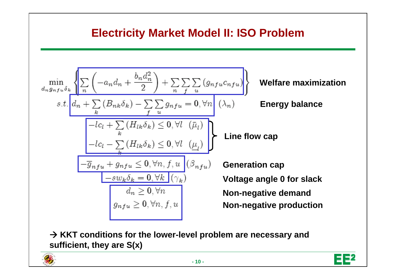# **Electricity Market Model II: ISO Problem**

$$
\min_{d_n g_{nfu}\delta_k} \left\{ \frac{\sum_{n} \left( -a_n d_n + \frac{b_n d_n^2}{2} \right) + \sum_{n} \sum_{j} \sum_{u} \left( g_{nfu} c_{nfu} \right)}{s.t. \left[ d_n + \sum_{k} \left( B_{nk} \delta_k \right) - \sum_{j} \sum_{u} g_{nfu} = 0, \forall n \right]} \right\} \text{ Welfare maximization}
$$
\n
$$
s.t. \underbrace{\left\{ d_n + \sum_{k} \left( B_{nk} \delta_k \right) - \sum_{j} \sum_{u} g_{nfu} = 0, \forall n \right\}}_{-lc_l + \sum_{k} \left( H_{lk} \delta_k \right) \leq 0, \forall l \left( \overline{\mu}_l \right)}
$$
\n
$$
\left\{ -\frac{c_l - \sum_{k} \left( H_{lk} \delta_k \right) \leq 0, \forall l \left( \underline{\mu}_l \right)}{s.t. \left( H_{lk} \delta_k \right) \leq 0, \forall n, f, u} \right\} \text{Line flow cap}
$$
\n
$$
\underbrace{\left\{ -\overline{g}_{nfu} + g_{nfu} \leq 0, \forall n, f, u \right\}}_{d_n \geq 0, \forall n} \text{Voltage angle 0 for slack}
$$
\n
$$
g_{nfu} \geq 0, \forall n, f, u
$$
\nNon-negative demand  
\nNon-negative production

 $→$  **KKT conditions for the lower-level problem are necessary and sufficient, they are S(x)**



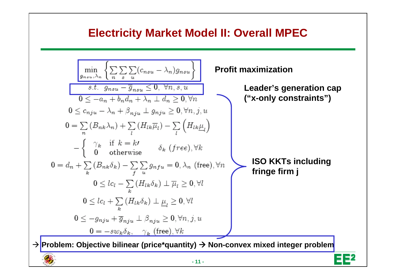#### **Electricity Market Model II: Overall MPEC**

| min                                                                                                       | $\left\{\sum\sum_{n\in\omega, \lambda_n} \left\{\sum\sum_{n\in\omega} (c_{nsu} - \lambda_n)g_{nsu}\right\}\right\}$ | Profit maximization |
|-----------------------------------------------------------------------------------------------------------|---------------------------------------------------------------------------------------------------------------------|---------------------|
| $s.t. g_{nsu} - \overline{g}_{nsu} \leq 0, \forall n, s, u$                                               | Leader's generation cap                                                                                             |                     |
| $0 \leq -a_n + b_n d_n + \lambda_n \perp d_n \geq 0, \forall n$                                           | Leader's generation cap                                                                                             |                     |
| $0 \leq c_{nju} - \lambda_n + \beta_{nju} \perp g_{nju} \geq 0, \forall n, j, u$                          | ("x-only constraints")                                                                                              |                     |
| $0 = \sum_{n} (B_{nk}\lambda_n) + \sum_{l} (H_{lk}\overline{\mu}_l) - \sum_{l} (H_{lk}\underline{\mu}_l)$ | [SO KKTs including<br>of otherwise                                                                                  |                     |
| $0 = d_n + \sum_{k} (B_{nk}\delta_k) - \sum_{j\in u} g_{nfu} = 0, \lambda_n \text{ (free)}, \forall n$    | ISO KKTs including<br>fringe firm j                                                                                 |                     |
| $0 \leq lc_l + \sum_{k} (H_{lk}\delta_k) \perp \underline{\mu}_l \geq 0, \forall l$                       | 150                                                                                                                 |                     |
| $0 \leq -g_{nju} + \overline{g}_{nju} \perp \beta_{nju} \geq 0, \forall n, j, u$                          | 160                                                                                                                 |                     |
| $0 \leq -g_{nju} + \overline{g}_{nju} \perp g_{nju} \geq 0, \forall n, j, u$                              | 17                                                                                                                  |                     |

\nProblem: Objective bilinear (price\*quantity)  $\rightarrow$  Non-convex mixed integer problem

\n11-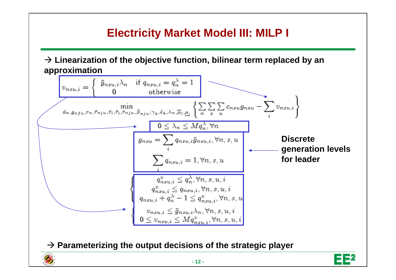# **Electricity Market Model III: MILP I**

 $\rightarrow$  Linearization of the objective function, bilinear term replaced by an



Æ **Parameterizing the output decisions of the strategic player**

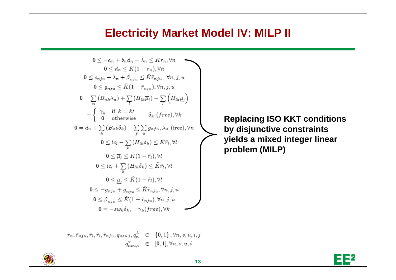#### **Electricity Market Model IV: MILP II**

$$
0 \leq -a_n + b_n d_n + \lambda_n \leq K r_n, \forall n
$$
  
\n
$$
0 \leq d_n \leq K(1 - r_n), \forall n
$$
  
\n
$$
0 \leq c_{nju} - \lambda_n + \beta_{nju} \leq \bar{K} \bar{r}_{nju}, \forall n, j, u
$$
  
\n
$$
0 \leq g_{nju} \leq \bar{K}(1 - \bar{r}_{nju}), \forall n, j, u
$$
  
\n
$$
0 = \sum_{n} (B_{nk} \lambda_n) + \sum_{l} (H_{lk} \overline{\mu}_l) - \sum_{l} (H_{lk} \underline{\mu}_l)
$$
  
\n
$$
-\begin{cases} \gamma_k & \text{if } k = k! \\ 0 & \text{otherwise} \end{cases} \delta_k \text{ (free), } \forall k
$$
  
\n
$$
0 = d_n + \sum_{k} (B_{nk} \delta_k) - \sum_{j} \sum_{u} g_{nfu}, \lambda_n \text{ (free), } \forall n
$$
  
\n
$$
0 \leq lc_l - \sum_{k} (H_{lk} \delta_k) \leq \hat{K} \hat{r}_l, \forall l
$$
  
\n
$$
0 \leq \overline{\mu}_l \leq \hat{K}(1 - \hat{r}_l), \forall l
$$
  
\n
$$
0 \leq \mu_l \leq \tilde{K}(1 - \hat{r}_l), \forall l
$$
  
\n
$$
0 \leq \mu_l \leq \tilde{K}(1 - \tilde{r}_l), \forall l
$$
  
\n
$$
0 \leq \beta_{nju} + \overline{g}_{nju} \leq \check{K} \tilde{r}_{nju}, \forall n, j, u
$$
  
\n
$$
0 \leq \beta_{nju} \leq \check{K}(1 - \tilde{r}_{nju}), \forall n, j, u
$$
  
\n
$$
0 = -s w_k \delta_k, \quad \gamma_k \text{ (free), } \forall k
$$

 $r_n, \bar{r}_{nju}, \hat{r}_l, \tilde{r}_l, \check{r}_{nju}, q_{nsu,i}, q_n^{\lambda} \in \{0,1\}, \forall n, s, u, i, j$ 

 $q_{nsui}^v \in [0,1], \forall n, s, u, i$ 

**Replacing ISO KKT conditions by disjunctive constraints yields a mixed integer linear problem (MILP)**



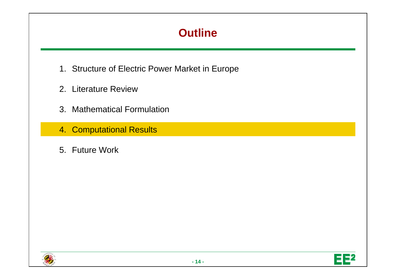# **Outline**

- 1. Structure of Electric Power Market in Europe
- 2. Literature Review
- 3. Mathematical Formulation
- 4. Computational Results
- 5. Future Work



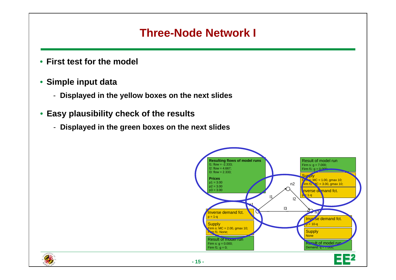## **Three-Node Network I**

- **First test for the model**
- **Simple input data** 
	- **Displayed in the yellow boxes on the next slides**
- **Easy plausibility check of the results**
	- **Displayed in the green boxes on the next slides**

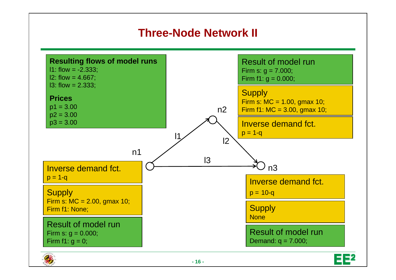# **Three-Node Network II**



**- 16 -**



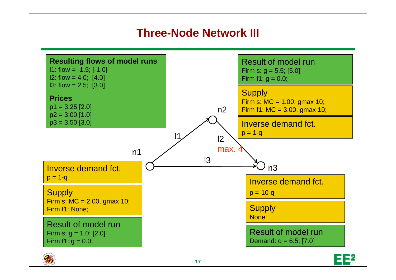# **Three-Node Network III**



**- 17 -**

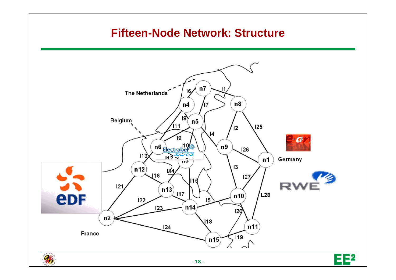#### **Fifteen-Node Network: Structure** $\bullet$  $n7$ The Netherlands 16  $n8$  $n4$ /17 18, Belgium  $n<sub>5</sub>$  $(111)$ 125 12  $\vert 4$ Ί۹  $\boldsymbol{0}$  $\frac{110}{\frac{\text{Flectrabel}^2}{112}}$ n9  $126$  $113$ Germany  $n1$ **13**  $n12$ **И4 I16**  $127$ 5 R)  $121$  $n13)$  $117$  $L28$ eDF  $n10$  $122$  $15$  $123$ n<sub>14</sub> 120  $n2$  $118$  $n11$  $124$ France  $\sqrt{19}$ n15  $\widehat{\phantom{a}}$ EE<sup>2</sup> **- 18 -**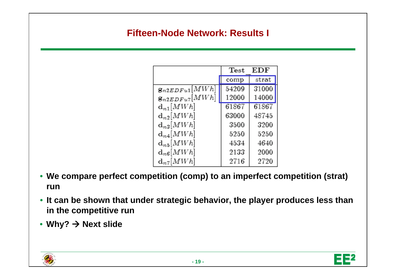#### **Fifteen-Node Network: Results I**

|                         | $\operatorname{\mathrm{\mathbf{Test}}}$ | EDF   |
|-------------------------|-----------------------------------------|-------|
|                         | comp                                    | strat |
| $g_{n2EDFu1}[MWh]$      | 54209                                   | 31000 |
| $g_{n2EDFu7}[MWh]$      | 12000                                   | 14000 |
| $d_{n1}$ [ <i>MWh</i> ] | 61867                                   | 61867 |
| $d_{n2}$ [ <i>MWh</i> ] | 63000                                   | 48745 |
| $d_{n3}$ [ <i>MWh</i> ] | 3500                                    | 3200  |
| $d_{n4}[MWh]$           | 5250                                    | 5250  |
| $d_{n5}$ [ <i>MWh</i> ] | 4534                                    | 4640  |
| $d_{n6}$ [ <i>MWh</i> ] | 2133                                    | 2000  |
| $d_{n7}$ [ <i>MWh</i> ] | 2716                                    | 2720  |

- **We compare perfect competition (comp) to an imperfect competition (strat) run**
- **It can be shown that under strategic behavior, the player produces less than in the competitive run**
- **Why?** Æ **Next slide**



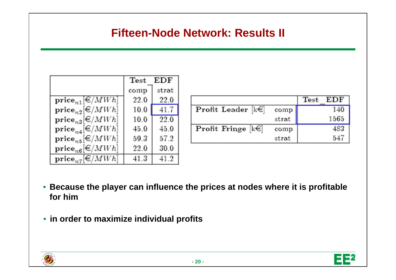## **Fifteen-Node Network: Results II**

|                                 | EDF<br>Test |       |  |
|---------------------------------|-------------|-------|--|
|                                 | comp        | strat |  |
| $\textbf{price}_{n1}[\in]MWh]$  | 22.0        | 22.0  |  |
| $\textbf{price}_{n2}[\in]MMWh]$ | 10.0        | 41.7  |  |
| $\textbf{price}_{n3}[\in]MWh]$  | 10.0        | 22.0  |  |
| $\textbf{price}_{n4}[\in]MWh]$  | 45.0        | 45.0  |  |
| $\textbf{price}_{n5}[\in]MMWh]$ | 59.3        | 57.2  |  |
| $\textbf{price}_{n6}[\in]MWh]$  | 22.0        | 30.0  |  |
| $\textbf{price}_{n7}[\in]MWh]$  | 41.3        | 41.2  |  |

|                                 |       | Test EDF |
|---------------------------------|-------|----------|
| <b>Profit Leader</b> $[k \in ]$ | comp  | 140      |
|                                 | strat | 1565     |
| <b>Profit Fringe</b> $[k \in ]$ | comp  | 483      |
|                                 | strat | 547      |

- **Because the player can influence the prices at nodes where it is profitable for him**
- **in order to maximize individual profits**



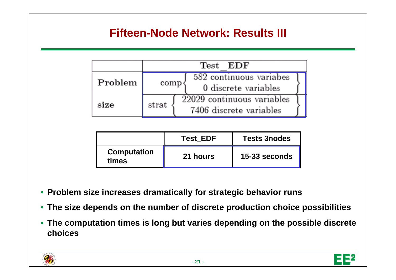# **Fifteen-Node Network: Results III**

|         | Test EDF |                                                       |  |  |
|---------|----------|-------------------------------------------------------|--|--|
| Problem | comp     | 582 continuous variabes<br>0 discrete variables       |  |  |
| size    | strat    | 22029 continuous variables<br>7406 discrete variables |  |  |

|                             | <b>Test EDF</b> | <b>Tests 3nodes</b> |
|-----------------------------|-----------------|---------------------|
| <b>Computation</b><br>times | 21 hours        | 15-33 seconds       |

- **Problem size increases dramatically for strategic behavior runs**
- **The size depends on the number of discrete production choice possibilities**
- **The computation times is long but varies depending on the possible discrete choices**



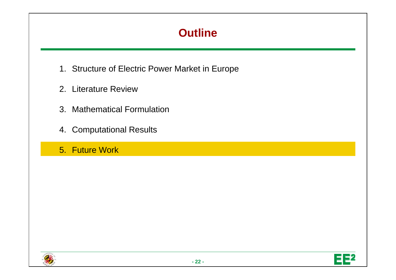# **Outline**

- 1. Structure of Electric Power Market in Europe
- 2. Literature Review
- 3. Mathematical Formulation
- 4. Computational Results
- 5. Future Work



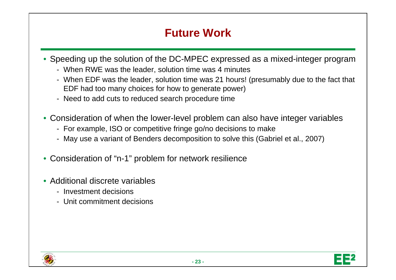# **Future Work**

- Speeding up the solution of the DC-MPEC expressed as a mixed-integer program
	- When RWE was the leader, solution time was 4 minutes
	- When EDF was the leader, solution time was 21 hours! (presumably due to the fact that EDF had too many choices for how to generate power)
	- Need to add cuts to reduced search procedure time
- Consideration of when the lower-level problem can also have integer variables
	- For example, ISO or competitive fringe go/no decisions to make
	- May use a variant of Benders decomposition to solve this (Gabriel et al., 2007)
- $\bullet$ Consideration of "n-1" problem for network resilience
- Additional discrete variables
	- Investment decisions
	- Unit commitment decisions

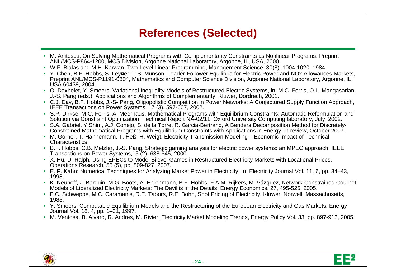# **References (Selected)**

- M. Anitescu, On Solving Mathematical Programs with Complementarity Constraints as Nonlinear Programs. Preprint ANL/MCS-P864-1200, MCS Division, Argonne National Laboratory, Argonne, IL, USA, 2000.
- W.F. Bialas and M.H. Karwan, Two-Level Linear Programming, Management Science, 30(8), 1004-1020, 1984.
- Y. Chen, B.F. Hobbs, S. Ley¤er, T.S. Munson, Leader-Follower Equilibria for Electric Power and NOx Allowances Markets, Preprint ANL/MCS-P1191-0804, Mathematics and Computer Science Division, Argonne National Laboratory, Argonne, IL<br>USA 60439, 2004.
- O. Daxhelet, Y. Smeers, Variational Inequality Models of Restructured Electric Systems, in: M.C. Ferris, O.L. Mangasarian, J.-S. Pang (eds.), Applications and Algorithms of Complementarity, Kluwer, Dordrech, 2001.
- C.J. Day, B.F. Hobbs, J.-S- Pang, Oligopolistic Competition in Power Networks: A Conjectured Supply Function Approach, IEEE Transactions on Power Systems, 17 (3), 597-607, 2002.
- S.P. Dirkse, M.C. Ferris, A. Meerhaus, Mathematical Programs with Equilibrium Constraints: Automatic Reformulation and Solution via Constraint Optimization. Technical Report NA-02/11. Oxford University Computing laboratory, July, 2002.
- S.A. Gabriel, Y.Shim, A.J. Conejo, S. de la Torre, R. Garcia-Bertrand, A Benders Decomposition Method for Discretely-Constrained Mathematical Programs with Equilibrium Constraints with Applications in Energy, in review, October 2007.
- M. Görner, T. Hahnemann, T. Heß, H. Weigt, Electricity Transmission Modeling Economic Impact of Technical Characteristics,
- B.F. Hobbs, C.B. Metzler, J.-S. Pang, Strategic gaming analysis for electric power systems: an MPEC approach, IEEE<br>Transactions on Power Systems,15 (2), 638-645, 2000.
- X. Hu, D. Ralph, Using EPECs to Model Bilevel Games in Restructured Electricity Markets with Locational Prices, Operations Research, 55 (5), pp. 809-827, 2007.
- E. P. Kahn: Numerical Techniques for Analyzing Market Power in Electricity. In: Electricity Journal Vol. 11, 6, pp. 34–43, 1998.
- K. Neuhoff, J. Barquin, M.G. Boots, A. Ehrenmann, B.F. Hobbs, F.A.M. Rijkers, M. Vázquez, Network-Constrained Cournot Models of Liberalized Electricity Markets: The Devil is in the Details, Energy Economics, 27, 495-525, 2005.
- F.C. Schweppe, M.C. Caramanis, R.E. Tabors, R.E. Bohn, Spot Pricing of Electricity, Kluwer, Norwell, Massachusetts, 1988.
- Y. Smeers, Computable Equilibrium Models and the Restructuring of the European Electricity and Gas Markets, Energy Journal Vol. 18, 4, pp. 1–31, 1997.
- M. Ventosa, B. Alvaro, R. Andres, M. Rivier, Electricity Market Modeling Trends, Energy Policy Vol. 33, pp. 897-913, 2005.



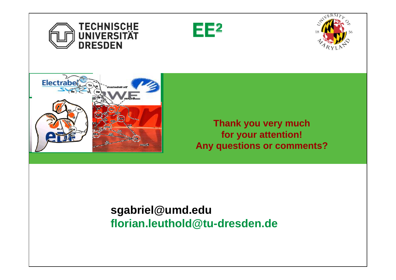







**Thank you very much for your attention! Any questions or comments?**

# **sgabriel@umd.edu florian.leuthold@tu-dresden.de**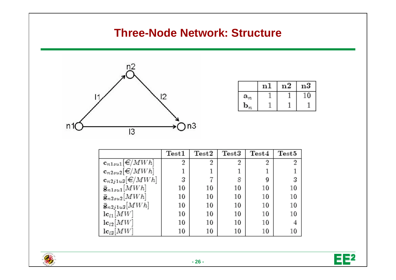#### **Three-Node Network: Structure**



|                   | nl | n2 | $^{\rm n3}$ |
|-------------------|----|----|-------------|
| $\mathbf{a}_n$    |    |    |             |
| $\mathbf{D}_{22}$ |    |    |             |

|                                 | $\operatorname{Test}1$ | ${\rm Test2}$ | ${\rm Test3}$ | Test4 | Test5 |
|---------------------------------|------------------------|---------------|---------------|-------|-------|
| $\mathbf{c}_{n1su1}[\in]$ MWh   | 2                      | 2             | 2             | 2     | 2     |
| $\mathbf{c}_{n2su2}[\in]MWh]$   |                        |               |               |       |       |
| $\mathbf{c}_{n2j1u3}[\in]MWh]$  | 3                      |               | 8             | 9     |       |
| $\bar{\mathbf{g}}_{n1su1}[MWh]$ | 10                     | 10            | 10            | 10    | 10    |
| $\bar{\mathbf{g}}_{n2su2}[MWh]$ | 10                     | 10            | 10            | 10    | 10    |
| $\bar{g}_{n2j1u3}[MWh]$         | 10                     | 10            | 10            | 10    | 10    |
| $\mathbf{lc}_{l1}[MW]$          | 10                     | 10            | 10            | 10    | 10    |
| $\mathbf{lc}_{l2}[MW]$          | 10                     | 10            | 10            | 10    |       |
| $\mathbf{lc}_{l3}[MW]$          | 10                     | 10            | 10            | 10    | 10    |

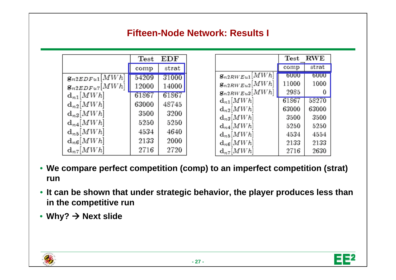#### **Fifteen-Node Network: Results I**

|                         | Test  | EDF   |
|-------------------------|-------|-------|
|                         | comp  | strat |
| $g_{n2EDFu1}[MWh]$      | 54209 | 31000 |
| $g_{n2EDFu7}[MWh]$      | 12000 | 14000 |
| $d_{n1}$ [ <i>MWh</i> ] | 61867 | 61867 |
| $d_{n2}$ [ <i>MWh</i> ] | 63000 | 48745 |
| $d_{n3}$ [ <i>MWh</i> ] | 3500  | 3200  |
| $d_{n4}[MWh]$           | 5250  | 5250  |
| $d_{nb}$ [ <i>MWh</i> ] | 4534  | 4640  |
| $d_{n6}$ [ <i>MWh</i> ] | 2133  | 2000  |
| $d_{n7}$ [ <i>MWh</i> ] | 2716  | 2720  |

|                             | Test  | <b>RWE</b> |
|-----------------------------|-------|------------|
|                             | comp  | strat      |
| $\mathbf{g}_{n2RWEu1}[MWh]$ | 6000  | 6000       |
| $g_{n2RWEu2}[MWh]$          | 11000 | 1000       |
| $g_{n2RWEu3}[MWh]$          | 2985  |            |
| $d_{n1}[MWh]$               | 61867 | 58270      |
| $d_{n2}$ [ <i>MWh</i> ]     | 63000 | 63000      |
| $d_{n3}$ [ <i>MWh</i> ]     | 3500  | 3500       |
| $d_{n4}[MWh]$               | 5250  | 5250       |
| $d_{n5}[MWh]$               | 4534  | 4554       |
| $d_{n6}$ [ <i>MWh</i> ]     | 2133  | 2133       |
| $d_{n7}$ [ <i>MWh</i> ]     | 2716  | 2630       |

- **We compare perfect competition (comp) to an imperfect competition (strat) run**
- **It can be shown that under strategic behavior, the player produces less than in the competitive run**
- **Why?** Æ **Next slide**



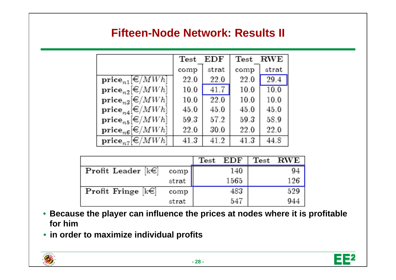#### **Fifteen-Node Network: Results II**

|                                                 | Test | EDF   | Test            | ${\rm RWE}$ |
|-------------------------------------------------|------|-------|-----------------|-------------|
|                                                 | comp | strat | comp            | strat       |
| $\textbf{price}_{n1} \in \mathbb{R}$ <i>MWh</i> | 22.0 | 22.0  | 22.0            | 29.4        |
| $\textbf{price}_{n2}[\in]MWh]$                  | 10.0 | 41.7  | 10 0            | 100         |
| $\textbf{price}_{n3}[\in]MWh]$                  | 100  | 22.0  | 10 <sub>0</sub> | 100         |
| $\textbf{price}_{n4}[\in]MWh]$                  | 45.0 | 45.0  | 45.0            | 45.0        |
| $\textbf{price}_{n5}[\in]MWh]$                  | 593  | 57.2  | 59.3            | 58.9        |
| $\textbf{price}_{n6}[\in/MWh]$                  | 22.0 | 30 0  | 22.0            | 22.0        |
| $\textbf{price}_{n7}[\in]$ <i>MWh</i>           | 413  | 41 2  | 41.3            | 44.8        |

|                          |       | $\rm Test$ $\rm EDF$ | $\operatorname{\mathrm{\mathbf{Test}}}$ | ${\bf RWE}$ |
|--------------------------|-------|----------------------|-----------------------------------------|-------------|
| Profit Leader $[k \in ]$ | comp  | 140                  |                                         | 94          |
|                          | strat | 1565                 |                                         | 126         |
| Profit Fringe $[k \in ]$ | comp  | 483                  |                                         | 529         |
|                          | strat | 547                  |                                         | 944         |

- **Because the player can influence the prices at nodes where it is profitable for him**
- **in order to maximize individual profits**